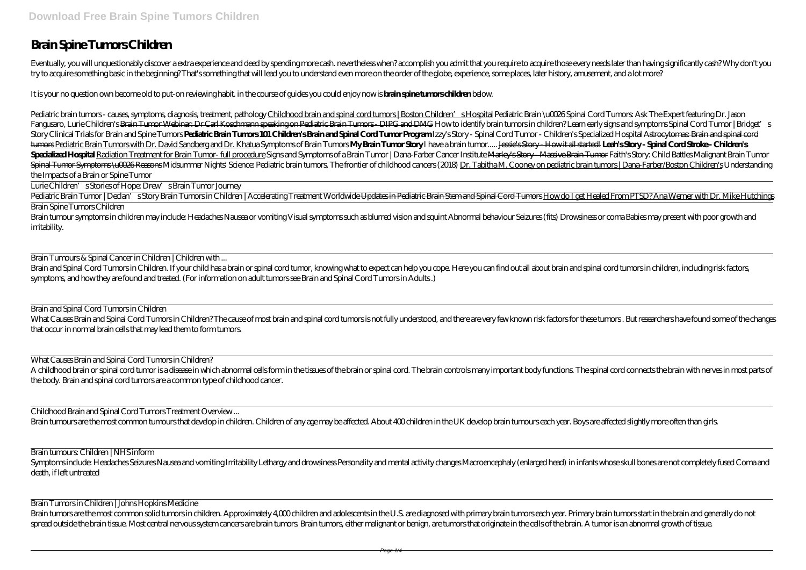## **Brain Spine Tumors Children**

Eventually, you will unquestionably discover a extra experience and deed by spending more cash, nevertheless when? accomplish you admit that you require to acquire those every needs later than having significantly cash? Wh try to acquire something basic in the beginning? That's something that will lead you to understand even more on the order of the globe, experience, some places, later history, amusement, and a lot more?

It is your no question own become old to put-on reviewing habit. in the course of guides you could enjoy now is **brain spine tumors children** below.

Pediatric brain tumors-causes symptoms diagnosis treatment, pathologyChildhood brain and spinal cord tumors | Boston Children' sHospital Pediatric Brain \u0026Spinal Cord Tumors Ask The Expert featuring Dr. Jason Fangusaro, Lurie Children's <del>Brain Tumor Webinar: Dr Carl Koschmann speaking on Pediatric Brain Tumors - DIPG and DMG How to identify brain tumors in children? Learn early signs and symptoms Spinal Cord Tumor | Bridget's s</del> Story Clinical Trials for Brain and Spine Tumors Pediatric Brain Tumors 101 Children's Brain and Spinal Cord Tumor Program Izzy's Story - Spinal Cord Tumor - Children's Specialized Hospital Astrocytomes Brain and spinal co tumors Pediatric Brain Tumors with Dr. David Sandberg and Dr. Khatua Symptoms of Brain Tumors**My Brain Tumor Story** I have a brain tumor..... Jessie's Story- How it all started! Leah's Story- Spinal Cord Stroke- Children's Specialized Hospital Radiation Treatment for Brain Tumor- full procedure Signs and Symptoms of a Brain Tumor / Dana-Farber Cancer Institute Marley's Story-Massive Brain Tumor Faith's Story: Child Battles Malignant Brain Tu Spinal Tumor Symptoms \uCC26Reasons Midsummer Nights' Science: Pediatric brain tumors The frontier of childhood cancers (2018) Dr. Tabitha M. Cooney on pediatric brain tumors | Dana-Farber/Boston Children's Understanding the Impacts of a Brain or Spine Tumor

Pediatric Brain Tumor | Declan's Story Brain Tumors in Children | Accelerating Treatment Worldwide <del>Updates in Pediatric Brain Stem and Spinal Cord Tumors</del> How do I get Healed From PTSD? Ana Werner with Dr. Mike Hutchings Brain Spine Tumors Children

Brain and Spinal Cord Tumors in Children. If your child has a brain or spinal cord tumor, knowing what to expect can help you cope. Here you can find out all about brain and spinal cord tumors in children, including risk f symptoms, and how they are found and treated. (For information on adult tumors see Brain and Spinal Cord Tumors in Adults .)

What Causes Brain and Spinal Cord Tumors in Children? The cause of most brain and spinal cord tumors is not fully understood, and there are very few known risk factors for these tumors. But researchers have found some of t that occur in normal brain cells that may lead them to form tumors.

A childhood brain or spinal cord tumor is a disease in which abnormal cells form in the tissues of the brain or spinal cord. The brain controls many important body functions. The spinal cord connects the brain with nerves the body. Brain and spinal cord tumors are a common type of childhood cancer.

Lurie Children's Stories of Hope: Drew's Brain Tumor Journey

Symptoms include: Headaches Seizures Nausea and vomiting Irritability Lethargy and drowsiness Personality and mental activity changes Macroencephaly (enlarged head) in infants whose skull bones are not completely fused Com death, if left untreated

Brain tumors are the most common solid tumors in children. Approximately 4,000 children and adolescents in the U.S. are diagnosed with primary brain tumors each year. Primary brain tumors start in the brain and generally d spread outside the brain tissue. Most central nervous system cancers are brain tumors. Brain tumors, either malignant or benign, are tumors that originate in the cells of the brain. A tumor is an abnormal growth of tissue.

Brain tumour symptoms in children may include: Headaches Nausea or vomiting Visual symptoms such as blurred vision and squint Abnormal behaviour Seizures (fits) Drowsiness or coma Babies may present with poor growth and irritability.

Brain Tumours & Spinal Cancer in Children | Children with ...

Brain and Spinal Cord Tumors in Children

What Causes Brain and Spinal Cord Tumors in Children?

Childhood Brain and Spinal Cord Tumors Treatment Overview ...

Brain tumours are the most common tumours that develop in children. Children of any age may be affected. About 400 children in the UK develop brain tumours each year. Boys are affected slightly more often than girls.

Brain tumours: Children | NHS inform

Brain Tumors in Children | Johns Hopkins Medicine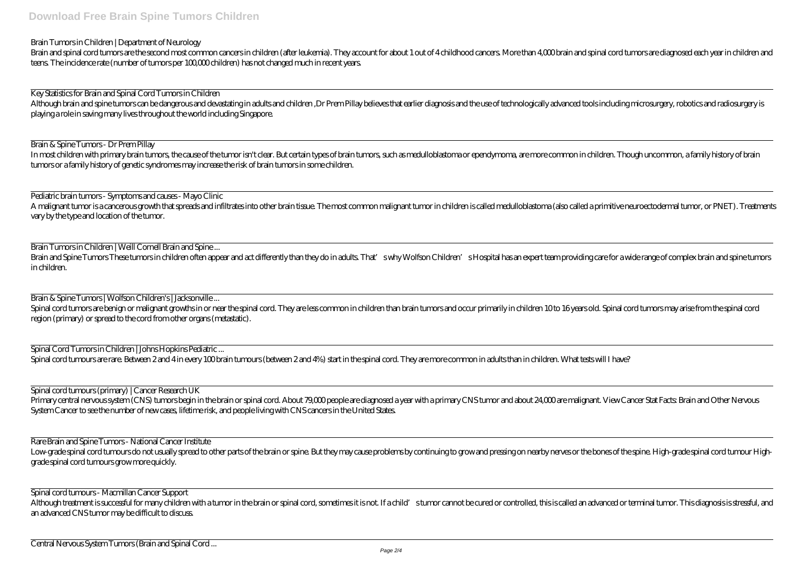Brain Tumors in Children | Department of Neurology

Brain and spinal cord tumors are the second most common cancers in children (after leukemia). They account for about 1 out of 4 childhood cancers. More than 4,000 brain and spinal cord tumors are diagnosed each year in chi teens. The incidence rate (number of tumors per 100,000 children) has not changed much in recent years.

Although brain and spine tumors can be dangerous and devastating in adults and children ,Dr Prem Pillay believes that earlier diagnosis and the use of technologically advanced tools including microsurgery, robotics and rad playing a role in saving many lives throughout the world including Singapore.

Key Statistics for Brain and Spinal Cord Tumors in Children

In most children with primary brain tumors, the cause of the tumor isn't clear. But certain types of brain tumors, such as medulloblastoma or ependymoma, are more common in children. Though uncommon, a family history of br tumors or a family history of genetic syndromes may increase the risk of brain tumors in some children.

A malignant tumor is a cancerous growth that spreads and infiltrates into other brain tissue. The most common malignant tumor in children is called medulloblastoma (also called a primitive neuroectodermal tumor, or PNET). vary by the type and location of the tumor.

Brain & Spine Tumors - Dr Prem Pillay

Brain and Spine Tumors These tumors in children often appear and act differently than they do in adults. That' swhy Wolfson Children' s Hospital has an expert team providing care for a wide range of complex brain and spine in children.

Spinal cord tumors are benign or malignant growths in or near the spinal cord. They are less common in children than brain tumors and occur primarily in children 10 to 16 years old. Spinal cord tumors may arise from the sp region (primary) or spread to the cord from other organs (metastatic).

Pediatric brain tumors - Symptoms and causes - Mayo Clinic

Primary central nervous system (CNS) tumors begin in the brain or spinal cord. About 79,000 people are diagnosed a year with a primary CNS tumor and about 24,000 are malignant. View Cancer Stat Facts: Brain and Other Nervous System Cancer to see the number of new cases, lifetime risk, and people living with CNS cancers in the United States.

Brain Tumors in Children | Weill Cornell Brain and Spine ...

Low-grade spinal cord tumours do not usually spread to other parts of the brain or spine. But they may cause problems by continuing to grow and pressing on nearby nerves or the bones of the spine. High-grade spinal cord tu grade spinal cord tumours grow more quickly.

Although treatment is successful for many children with a tumor in the brain or spinal cord, sometimes it is not. If a child's tumor cannot be cured or controlled, this is called an advanced or terminal tumor. This diagnos an advanced CNS tumor may be difficult to discuss.

Brain & Spine Tumors | Wolfson Children's | Jacksonville ...

Spinal Cord Tumors in Children | Johns Hopkins Pediatric ...

Spinal cord tumours are rare. Between 2 and 4 in every 100 brain tumours (between 2 and 4%) start in the spinal cord. They are more common in adults than in children. What tests will I have?

Spinal cord tumours (primary) | Cancer Research UK

Rare Brain and Spine Tumors - National Cancer Institute

Spinal cord tumours - Macmillan Cancer Support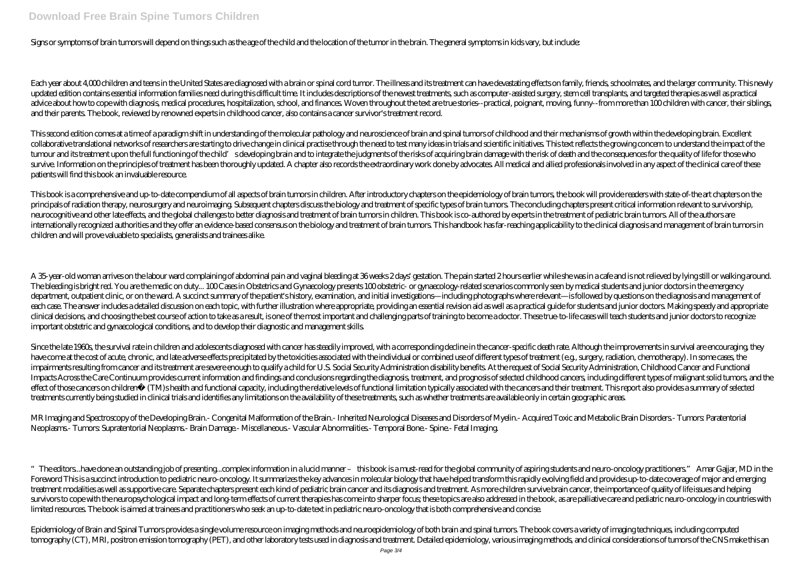## **Download Free Brain Spine Tumors Children**

Signs or symptoms of brain tumors will depend on things such as the age of the child and the location of the tumor in the brain. The general symptoms in kids vary, but include:

Each year about 4,000 children and teens in the United States are diagnosed with a brain or spinal cord tumor. The illness and its treatment can have devastating effects on family, friends, schoolmates, and the larger comm updated edition contains essential information families need during this difficult time. It includes descriptions of the newest treatments, such as computer-assisted surgery, stem cell transplants, and targeted therapies a advice about how to cope with diagnosis, medical procedures, hospitalization, school, and finances. Woven throughout the text are true stories-practical, poignant, moving, funny-from more than 100 children with cancer, the and their parents. The book, reviewed by renowned experts in childhood cancer, also contains a cancer survivor's treatment record.

This second edition comes at a time of a paradigm shift in understanding of the molecular pathology and neuroscience of brain and spinal tumors of childhood and their mechanisms of growth within the developing brain. Excel collaborative translational networks of researchers are starting to drive change in clinical practise through the need to test many ideas in trials and scientific initiatives. This text reflects the growing concern to unde tumour and its treatment upon the full functioning of the child' sdeveloping brain and to integrate the judgments of the risks of acquiring brain damage with the risk of death and the consequences for the quality of life f survive. Information on the principles of treatment has been thoroughly updated. A chapter also records the extraordinary work done by advocates. All medical and allied professionals involved in any aspect of the clinical patients will find this book an invaluable resource.

This book is a comprehensive and up-to-date compendium of all aspects of brain tumors in children. After introductory chapters on the epidemiology of brain tumors, the book will provide readers with state-of-the art chapte principals of radiation therapy, neurosurgery and neuroimaging. Subsequent chapters discuss the biology and treatment of specific types of brain tumors. The concluding chapters present critical information relevant to surv neurocognitive and other late effects, and the global challenges to better diagnosis and treatment of brain tumors in children. This book is co-authored by experts in the treatment of pediatric brain tumors. All of the aut internationally recognized authorities and they offer an evidence-based consensus on the biology and treatment of brain tumors. This handbook has far-reaching applicability to the clinical diagnosis and management of brain children and will prove valuable to specialists, generalists and trainees alike.

A 35-year-old woman arrives on the labour ward complaining of abdominal pain and vaginal bleeding at 36 weeks 2 days' gestation. The pain started 2 hours earlier while she was in a cafe and is not relieved by lying still o The bleeding is bright red. You are the medic on duty... 100 Cases in Obstetrics and Gynaecology presents 100 obstetric- or gynaecology-related scenarios commonly seen by medical students and junior doctors in the emergency department, outpatient clinic, or on the ward. A succinct summary of the patient's history, examination, and initial investigations—including photographs where relevant—is followed by questions on the diagnosis and managem each case. The answer includes a detailed discussion on each topic, with further illustration where appropriate, providing an essential revision aid as well as a practical guide for students and junior doctors. Making spee clinical decisions, and choosing the best course of action to take as a result, is one of the most important and challenging parts of training to become a doctor. These true- to-life cases will teach students and junior do important obstetric and gynaecological conditions, and to develop their diagnostic and management skills.

Since the late 1960s, the survival rate in children and adolescents diagnosed with cancer has steadily improved, with a corresponding decline in the cancer-specific death rate. Although the improvements in survival are enc have come at the cost of acute, chronic, and late adverse effects precipitated by the toxicities associated with the individual or combined use of different types of treatment (e.g., surgery, radiation, chemotherapy). In s impairments resulting from cancer and its treatment are severe enough to qualify a child for U.S. Social Security Administration disability benefits. At the request of Social Security Administration, Childhood Cancer and F Impacts Across the Care Continuum provides current information and findings and conclusions regarding the diagnosis, treatment, and prognosis of selected childhood cancers, including different types of malignant solid tumo effect of those cancers on childrena (TM) shealth and functional capacity, including the relative levels of functional limitation typically associated with the cancers and their treatment. This report also provides a summa treatments currently being studied in clinical trials and identifies any limitations on the availability of these treatments, such as whether treatments are available only in certain geographic areas.

Epidemiology of Brain and Spinal Tumors provides a single volume resource on imaging methods and neuroepidemiology of both brain and spinal tumors. The book covers a variety of imaging techniques, including computed tomography (CT), MRI, positron emission tomography (PET), and other laboratory tests used in diagnosis and treatment. Detailed epidemiology, various imaging methods, and clinical considerations of tumors of the CNS make th

MR Imaging and Spectroscopy of the Developing Brain.- Congenital Malformation of the Brain.- Inherited Neurological Diseases and Disorders of Myelin.- Acquired Toxic and Metabolic Brain Disorders.- Tumors: Paratentorial Neoplasms.- Tumors: Supratentorial Neoplasms.- Brain Damage.- Miscellaneous.- Vascular Abnormalities.- Temporal Bone.- Spine.- Fetal Imaging.

<sup>&</sup>quot;The editors...have done an outstanding job of presenting...complex information in a lucid manner - this book is a must-read for the global community of aspiring students and neuro-oncology practitioners" Amar Gajjar, MD i Foreword This is a succinct introduction to pediatric neuro-oncology. It summarizes the key advances in molecular biology that have helped transform this rapidly evolving field and provides up- to-date coverage of major an treatment modalities as well as supportive care. Separate chapters present each kind of pediatric brain cancer and its diagnosis and treatment. As more children survive brain cancer, the importance of quality of life issue survivors to cope with the neuropsychological impact and long-term effects of current therapies has come into sharper focus; these topics are also addressed in the book, as are palliative care and pediatric neuro-oncology limited resources. The book is aimed at trainees and practitioners who seek an up-to-date text in pediatric neuro-oncology that is both comprehensive and concise.